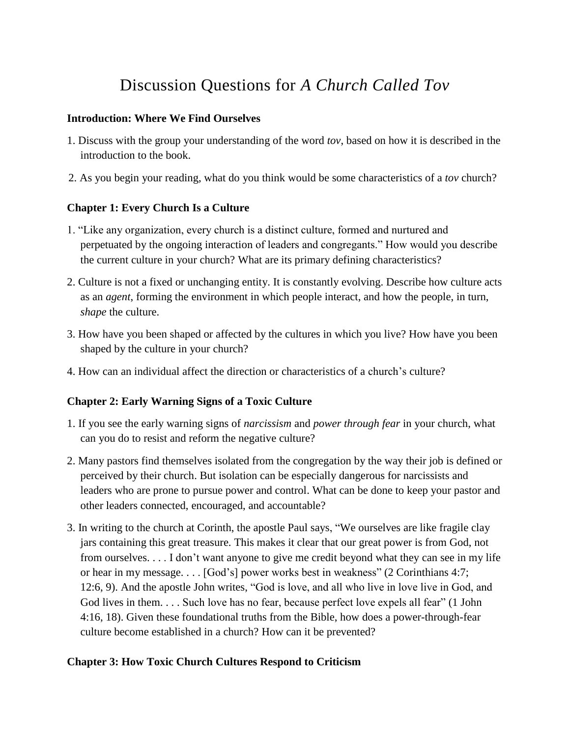# Discussion Questions for *A Church Called Tov*

#### **Introduction: Where We Find Ourselves**

- 1. Discuss with the group your understanding of the word *tov*, based on how it is described in the introduction to the book.
- 2. As you begin your reading, what do you think would be some characteristics of a *tov* church?

## **Chapter 1: Every Church Is a Culture**

- 1. "Like any organization, every church is a distinct culture, formed and nurtured and perpetuated by the ongoing interaction of leaders and congregants." How would you describe the current culture in your church? What are its primary defining characteristics?
- 2. Culture is not a fixed or unchanging entity. It is constantly evolving. Describe how culture acts as an *agent*, forming the environment in which people interact, and how the people, in turn, *shape* the culture.
- 3. How have you been shaped or affected by the cultures in which you live? How have you been shaped by the culture in your church?
- 4. How can an individual affect the direction or characteristics of a church's culture?

## **Chapter 2: Early Warning Signs of a Toxic Culture**

- 1. If you see the early warning signs of *narcissism* and *power through fear* in your church, what can you do to resist and reform the negative culture?
- 2. Many pastors find themselves isolated from the congregation by the way their job is defined or perceived by their church. But isolation can be especially dangerous for narcissists and leaders who are prone to pursue power and control. What can be done to keep your pastor and other leaders connected, encouraged, and accountable?
- 3. In writing to the church at Corinth, the apostle Paul says, "We ourselves are like fragile clay jars containing this great treasure. This makes it clear that our great power is from God, not from ourselves. . . . I don't want anyone to give me credit beyond what they can see in my life or hear in my message. . . . [God's] power works best in weakness" (2 Corinthians 4:7; 12:6, 9). And the apostle John writes, "God is love, and all who live in love live in God, and God lives in them. . . . Such love has no fear, because perfect love expels all fear" (1 John 4:16, 18). Given these foundational truths from the Bible, how does a power-through-fear culture become established in a church? How can it be prevented?

# **Chapter 3: How Toxic Church Cultures Respond to Criticism**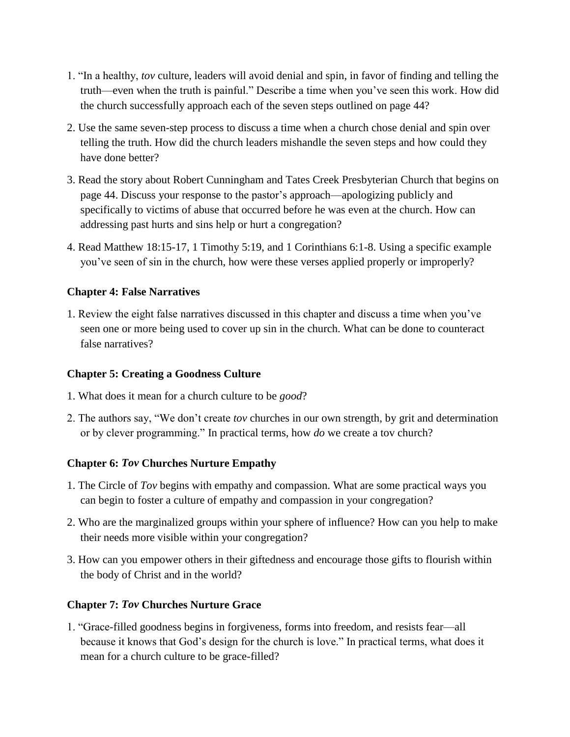- 1. "In a healthy, *tov* culture, leaders will avoid denial and spin, in favor of finding and telling the truth—even when the truth is painful." Describe a time when you've seen this work. How did the church successfully approach each of the seven steps outlined on page 44?
- 2. Use the same seven-step process to discuss a time when a church chose denial and spin over telling the truth. How did the church leaders mishandle the seven steps and how could they have done better?
- 3. Read the story about Robert Cunningham and Tates Creek Presbyterian Church that begins on page 44. Discuss your response to the pastor's approach—apologizing publicly and specifically to victims of abuse that occurred before he was even at the church. How can addressing past hurts and sins help or hurt a congregation?
- 4. Read Matthew 18:15-17, 1 Timothy 5:19, and 1 Corinthians 6:1-8. Using a specific example you've seen of sin in the church, how were these verses applied properly or improperly?

#### **Chapter 4: False Narratives**

1. Review the eight false narratives discussed in this chapter and discuss a time when you've seen one or more being used to cover up sin in the church. What can be done to counteract false narratives?

#### **Chapter 5: Creating a Goodness Culture**

- 1. What does it mean for a church culture to be *good*?
- 2. The authors say, "We don't create *tov* churches in our own strength, by grit and determination or by clever programming." In practical terms, how *do* we create a tov church?

## **Chapter 6:** *Tov* **Churches Nurture Empathy**

- 1. The Circle of *Tov* begins with empathy and compassion. What are some practical ways you can begin to foster a culture of empathy and compassion in your congregation?
- 2. Who are the marginalized groups within your sphere of influence? How can you help to make their needs more visible within your congregation?
- 3. How can you empower others in their giftedness and encourage those gifts to flourish within the body of Christ and in the world?

#### **Chapter 7:** *Tov* **Churches Nurture Grace**

1. "Grace-filled goodness begins in forgiveness, forms into freedom, and resists fear—all because it knows that God's design for the church is love." In practical terms, what does it mean for a church culture to be grace-filled?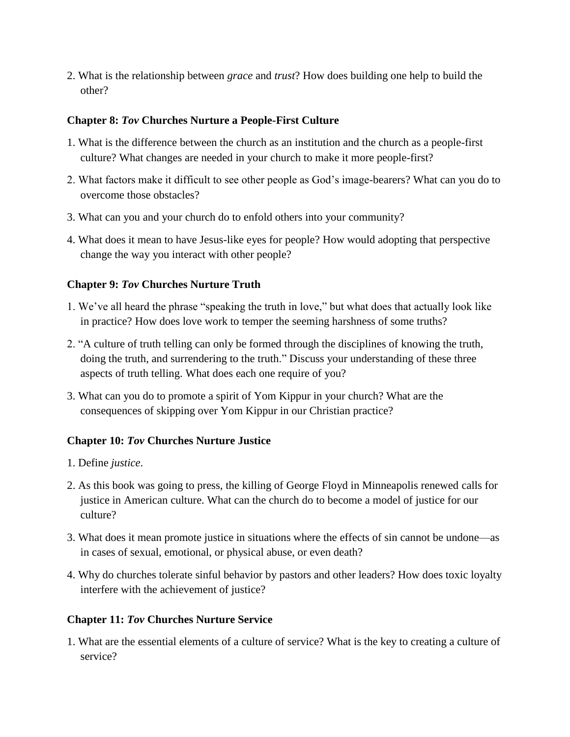2. What is the relationship between *grace* and *trust*? How does building one help to build the other?

#### **Chapter 8:** *Tov* **Churches Nurture a People-First Culture**

- 1. What is the difference between the church as an institution and the church as a people-first culture? What changes are needed in your church to make it more people-first?
- 2. What factors make it difficult to see other people as God's image-bearers? What can you do to overcome those obstacles?
- 3. What can you and your church do to enfold others into your community?
- 4. What does it mean to have Jesus-like eyes for people? How would adopting that perspective change the way you interact with other people?

## **Chapter 9:** *Tov* **Churches Nurture Truth**

- 1. We've all heard the phrase "speaking the truth in love," but what does that actually look like in practice? How does love work to temper the seeming harshness of some truths?
- 2. "A culture of truth telling can only be formed through the disciplines of knowing the truth, doing the truth, and surrendering to the truth." Discuss your understanding of these three aspects of truth telling. What does each one require of you?
- 3. What can you do to promote a spirit of Yom Kippur in your church? What are the consequences of skipping over Yom Kippur in our Christian practice?

# **Chapter 10:** *Tov* **Churches Nurture Justice**

- 1. Define *justice*.
- 2. As this book was going to press, the killing of George Floyd in Minneapolis renewed calls for justice in American culture. What can the church do to become a model of justice for our culture?
- 3. What does it mean promote justice in situations where the effects of sin cannot be undone—as in cases of sexual, emotional, or physical abuse, or even death?
- 4. Why do churches tolerate sinful behavior by pastors and other leaders? How does toxic loyalty interfere with the achievement of justice?

## **Chapter 11:** *Tov* **Churches Nurture Service**

1. What are the essential elements of a culture of service? What is the key to creating a culture of service?